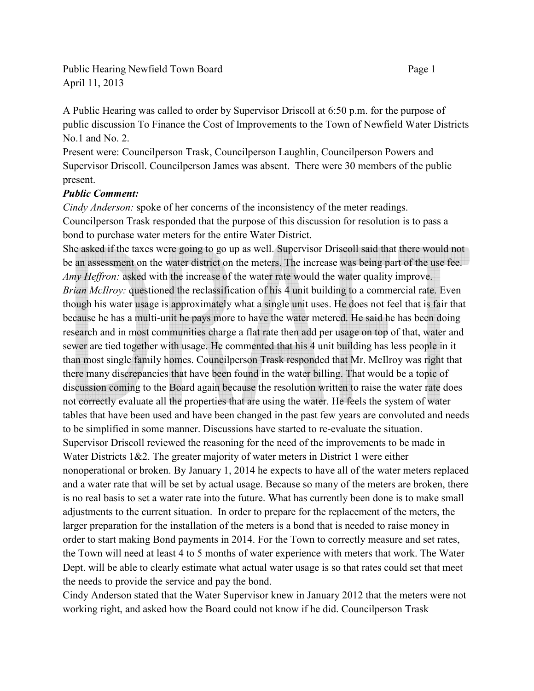Public Hearing Newfield Town Board Page 1 April 11, 2013

A Public Hearing was called to order by Supervisor Driscoll at 6:50 p.m. for the purpose of public discussion To Finance the Cost of Improvements to the Town of Newfield Water Districts No.1 and No. 2.

Present were: Councilperson Trask, Councilperson Laughlin, Councilperson Powers and Supervisor Driscoll. Councilperson James was absent. There were 30 members of the public present.

## *Public Comment:*

*Cindy Anderson:* spoke of her concerns of the inconsistency of the meter readings. Councilperson Trask responded that the purpose of this discussion for resolution is to pass a bond to purchase water meters for the entire Water District.

She asked if the taxes were going to go up as well. Supervisor Driscoll said that there would not be an assessment on the water district on the meters. The increase was being part of the use fee. *Amy Heffron:* asked with the increase of the water rate would the water quality improve. *Brian McIlroy:* questioned the reclassification of his 4 unit building to a commercial rate. Even though his water usage is approximately what a single unit uses. He does not feel that is fair that because he has a multi-unit he pays more to have the water metered. He said he has been doing research and in most communities charge a flat rate then add per usage on top of that, water and sewer are tied together with usage. He commented that his 4 unit building has less people in it than most single family homes. Councilperson Trask responded that Mr. McIlroy was right that there many discrepancies that have been found in the water billing. That would be a topic of discussion coming to the Board again because the resolution written to raise the water rate does not correctly evaluate all the properties that are using the water. He feels the system of water tables that have been used and have been changed in the past few years are convoluted and needs to be simplified in some manner. Discussions have started to re-evaluate the situation. Supervisor Driscoll reviewed the reasoning for the need of the improvements to be made in Water Districts 1&2. The greater majority of water meters in District 1 were either nonoperational or broken. By January 1, 2014 he expects to have all of the water meters replaced and a water rate that will be set by actual usage. Because so many of the meters are broken, there is no real basis to set a water rate into the future. What has currently been done is to make small adjustments to the current situation. In order to prepare for the replacement of the meters, the larger preparation for the installation of the meters is a bond that is needed to raise money in order to start making Bond payments in 2014. For the Town to correctly measure and set rates, the Town will need at least 4 to 5 months of water experience with meters that work. The Water Dept. will be able to clearly estimate what actual water usage is so that rates could set that meet the needs to provide the service and pay the bond.

Cindy Anderson stated that the Water Supervisor knew in January 2012 that the meters were not working right, and asked how the Board could not know if he did. Councilperson Trask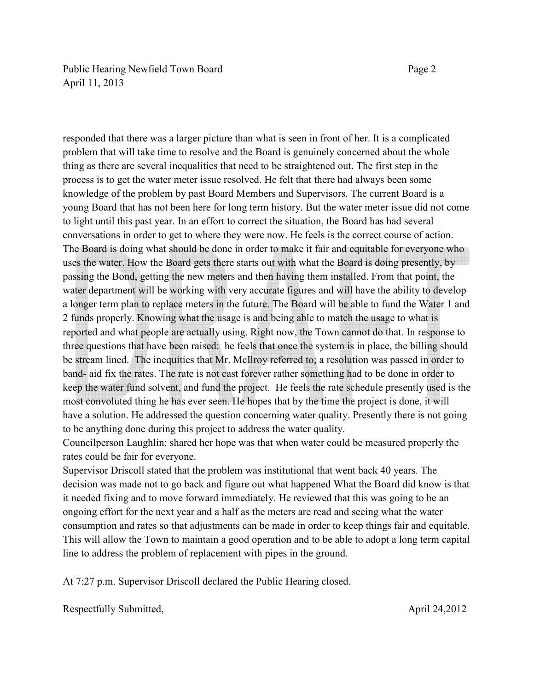Public Hearing Newfield Town Board Page 2 April 11, 2013

responded that there was a larger picture than what is seen in front of her. It is a complicated problem that will take time to resolve and the Board is genuinely concerned about the whole thing as there are several inequalities that need to be straightened out. The first step in the process is to get the water meter issue resolved. He felt that there had always been some knowledge of the problem by past Board Members and Supervisors. The current Board is a young Board that has not been here for long term history. But the water meter issue did not come to light until this past year. In an effort to correct the situation, the Board has had several conversations in order to get to where they were now. He feels is the correct course of action. The Board is doing what should be done in order to make it fair and equitable for everyone who uses the water. How the Board gets there starts out with what the Board is doing presently, by passing the Bond, getting the new meters and then having them installed. From that point, the water department will be working with very accurate figures and will have the ability to develop a longer term plan to replace meters in the future. The Board will be able to fund the Water 1 and 2 funds properly. Knowing what the usage is and being able to match the usage to what is reported and what people are actually using. Right now, the Town cannot do that. In response to three questions that have been raised: he feels that once the system is in place, the billing should be stream lined. The inequities that Mr. McIlroy referred to; a resolution was passed in order to band- aid fix the rates. The rate is not cast forever rather something had to be done in order to keep the water fund solvent, and fund the project. He feels the rate schedule presently used is the most convoluted thing he has ever seen. He hopes that by the time the project is done, it will have a solution. He addressed the question concerning water quality. Presently there is not going to be anything done during this project to address the water quality.

Councilperson Laughlin: shared her hope was that when water could be measured properly the rates could be fair for everyone.

Supervisor Driscoll stated that the problem was institutional that went back 40 years. The decision was made not to go back and figure out what happened What the Board did know is that it needed fixing and to move forward immediately. He reviewed that this was going to be an ongoing effort for the next year and a half as the meters are read and seeing what the water consumption and rates so that adjustments can be made in order to keep things fair and equitable. This will allow the Town to maintain a good operation and to be able to adopt a long term capital line to address the problem of replacement with pipes in the ground.

At 7:27 p.m. Supervisor Driscoll declared the Public Hearing closed.

Respectfully Submitted, April 24,2012